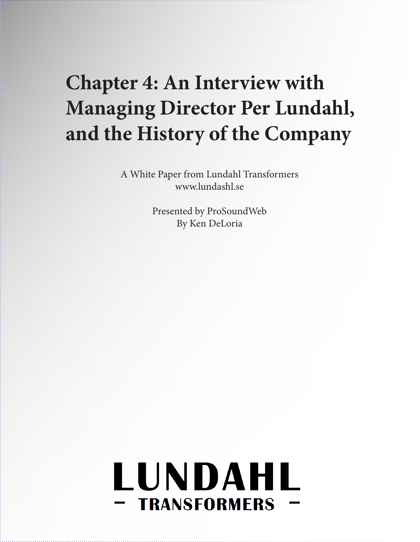# **Chapter 4: An Interview with Managing Director Per Lundahl, and the History of the Company**

A White Paper from Lundahl Transformers www.lundashl.se

> Presented by ProSoundWeb By Ken DeLoria

# LUNDAHL **- TRANSFORMERS**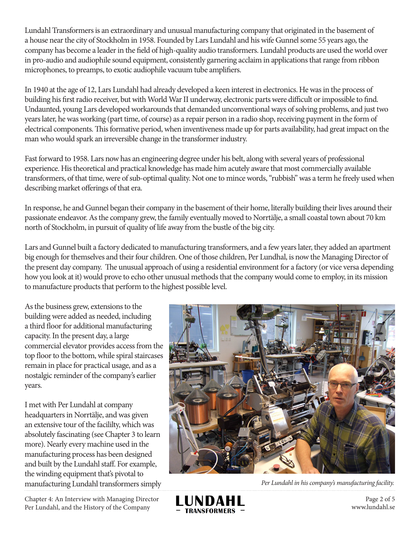Lundahl Transformers is an extraordinary and unusual manufacturing company that originated in the basement of a house near the city of Stockholm in 1958. Founded by Lars Lundahl and his wife Gunnel some 55 years ago, the company has become a leader in the field of high-quality audio transformers. Lundahl products are used the world over in pro-audio and audiophile sound equipment, consistently garnering acclaim in applications that range from ribbon microphones, to preamps, to exotic audiophile vacuum tube amplifiers.

In 1940 at the age of 12, Lars Lundahl had already developed a keen interest in electronics. He was in the process of building his first radio receiver, but with World War II underway, electronic parts were difficult or impossible to find. Undaunted, young Lars developed workarounds that demanded unconventional ways of solving problems, and just two years later, he was working (part time, of course) as a repair person in a radio shop, receiving payment in the form of electrical components. This formative period, when inventiveness made up for parts availability, had great impact on the man who would spark an irreversible change in the transformer industry.

Fast forward to 1958. Lars now has an engineering degree under his belt, along with several years of professional experience. His theoretical and practical knowledge has made him acutely aware that most commercially available transformers, of that time, were of sub-optimal quality. Not one to mince words, "rubbish" was a term he freely used when describing market offerings of that era.

In response, he and Gunnel began their company in the basement of their home, literally building their lives around their passionate endeavor. As the company grew, the family eventually moved to Norrtälje, a small coastal town about 70 km north of Stockholm, in pursuit of quality of life away from the bustle of the big city.

Lars and Gunnel built a factory dedicated to manufacturing transformers, and a few years later, they added an apartment big enough for themselves and their four children. One of those children, Per Lundhal, is now the Managing Director of the present day company. The unusual approach of using a residential environment for a factory (or vice versa depending how you look at it) would prove to echo other unusual methods that the company would come to employ, in its mission to manufacture products that perform to the highest possible level.

As the business grew, extensions to the building were added as needed, including a third floor for additional manufacturing capacity. In the present day, a large commercial elevator provides access from the top floor to the bottom, while spiral staircases remain in place for practical usage, and as a nostalgic reminder of the company's earlier years.

I met with Per Lundahl at company headquarters in Norrtälje, and was given an extensive tour of the facililty, which was absolutely fascinating (see Chapter 3 to learn more). Nearly every machine used in the manufacturing process has been designed and built by the Lundahl staff. For example, the winding equipment that's pivotal to manufacturing Lundahl transformers simply *Per Lundahl in his company's manufacturing facility.*

Chapter 4: An Interview with Managing Director Per Lundahl, and the History of the Company





Page 2 of 5 www.lundahl.se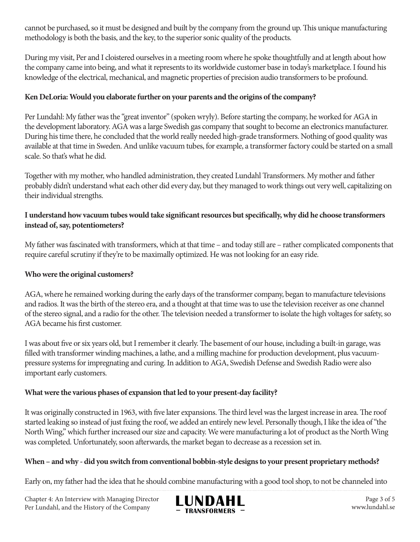cannot be purchased, so it must be designed and built by the company from the ground up. This unique manufacturing methodology is both the basis, and the key, to the superior sonic quality of the products.

During my visit, Per and I cloistered ourselves in a meeting room where he spoke thoughtfully and at length about how the company came into being, and what it represents to its worldwide customer base in today's marketplace. I found his knowledge of the electrical, mechanical, and magnetic properties of precision audio transformers to be profound.

# **Ken DeLoria: Would you elaborate further on your parents and the origins of the company?**

Per Lundahl: My father was the "great inventor" (spoken wryly). Before starting the company, he worked for AGA in the development laboratory. AGA was a large Swedish gas company that sought to become an electronics manufacturer. During his time there, he concluded that the world really needed high-grade transformers. Nothing of good quality was available at that time in Sweden. And unlike vacuum tubes, for example, a transformer factory could be started on a small scale. So that's what he did.

Together with my mother, who handled administration, they created Lundahl Transformers. My mother and father probably didn't understand what each other did every day, but they managed to work things out very well, capitalizing on their individual strengths.

# **I understand how vacuum tubes would take significant resources but specifically, why did he choose transformers instead of, say, potentiometers?**

My father was fascinated with transformers, which at that time – and today still are – rather complicated components that require careful scrutiny if they're to be maximally optimized. He was not looking for an easy ride.

# **Who were the original customers?**

AGA, where he remained working during the early days of the transformer company, began to manufacture televisions and radios. It was the birth of the stereo era, and a thought at that time was to use the television receiver as one channel of the stereo signal, and a radio for the other. The television needed a transformer to isolate the high voltages for safety, so AGA became his first customer.

I was about five or six years old, but I remember it clearly. The basement of our house, including a built-in garage, was filled with transformer winding machines, a lathe, and a milling machine for production development, plus vacuumpressure systems for impregnating and curing. In addition to AGA, Swedish Defense and Swedish Radio were also important early customers.

# **What were the various phases of expansion that led to your present-day facility?**

It was originally constructed in 1963, with five later expansions. The third level was the largest increase in area. The roof started leaking so instead of just fixing the roof, we added an entirely new level. Personally though, I like the idea of "the North Wing," which further increased our size and capacity. We were manufacturing a lot of product as the North Wing was completed. Unfortunately, soon afterwards, the market began to decrease as a recession set in.

# **When – and why - did you switch from conventional bobbin-style designs to your present proprietary methods?**

Early on, my father had the idea that he should combine manufacturing with a good tool shop, to not be channeled into

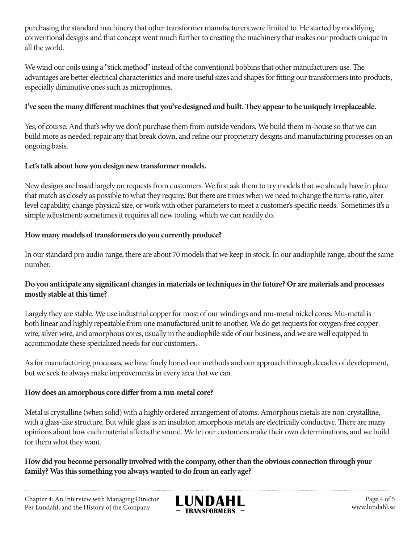purchasing the standard machinery that other transformer manufacturers were limited to. He started by modifying conventional designs and that concept went much further to creating the machinery that makes our products unique in all the world.

We wind our coils using a "stick method" instead of the conventional bobbins that other manufacturers use. The advantages are better electrical characteristics and more useful sizes and shapes for fitting our transformers into products, especially diminutive ones such as microphones.

### **I've seen the many different machines that you've designed and built. They appear to be uniquely irreplaceable.**

Yes, of course. And that's why we don't purchase them from outside vendors. We build them in-house so that we can build more as needed, repair any that break down, and refine our proprietary designs and manufacturing processes on an ongoing basis.

#### **Let's talk about how you design new transformer models.**

New designs are based largely on requests from customers. We first ask them to try models that we already have in place that match as closely as possible to what they require. But there are times when we need to change the turns-ratio, alter level capability, change physical size, or work with other parameters to meet a customer's specific needs. Sometimes it's a simple adjustment; sometimes it requires all new tooling, which we can readily do.

#### **How many models of transformers do you currently produce?**

In our standard pro audio range, there are about 70 models that we keep in stock. In our audiophile range, about the same number.

#### **Do you anticipate any significant changes in materials or techniques in the future? Or are materials and processes mostly stable at this time?**

Largely they are stable. We use industrial copper for most of our windings and mu-metal nickel cores. Mu-metal is both linear and highly repeatable from one manufactured unit to another. We do get requests for oxygen-free copper wire, silver wire, and amorphous cores, usually in the audiophile side of our business, and we are well equipped to accommodate these specialized needs for our customers.

As for manufacturing processes, we have finely honed our methods and our approach through decades of development, but we seek to always make improvements in every area that we can.

#### **How does an amorphous core differ from a mu-metal core?**

Metal is crystalline (when solid) with a highly ordered arrangement of atoms. Amorphous metals are non-crystalline, with a glass-like structure. But while glass is an insulator, amorphous metals are electrically conductive. There are many opinions about how each material affects the sound. We let our customers make their own determinations, and we build for them what they want.

**How did you become personally involved with the company, other than the obvious connection through your family? Was this something you always wanted to do from an early age?**



Page 4 of 5 www.lundahl.se